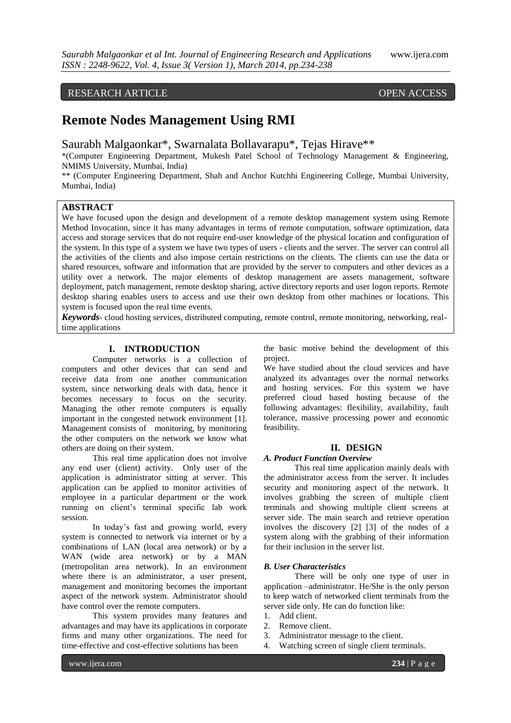### RESEARCH ARTICLE OPEN ACCESS

## **Remote Nodes Management Using RMI**

Saurabh Malgaonkar\*, Swarnalata Bollavarapu\*, Tejas Hirave\*\*

\*(Computer Engineering Department, Mukesh Patel School of Technology Management & Engineering, NMIMS University, Mumbai, India)

\*\* (Computer Engineering Department, Shah and Anchor Kutchhi Engineering College, Mumbai University, Mumbai, India)

#### **ABSTRACT**

We have focused upon the design and development of a remote desktop management system using Remote Method Invocation, since it has many advantages in terms of remote computation, software optimization, data access and storage services that do not require end-user knowledge of the physical location and configuration of the system. In this type of a system we have two types of users - clients and the server. The server can control all the activities of the clients and also impose certain restrictions on the clients. The clients can use the data or shared resources, software and information that are provided by the server to computers and other devices as a utility over a network. The major elements of desktop management are assets management, software deployment, patch management, remote desktop sharing, active directory reports and user logon reports. Remote desktop sharing enables users to access and use their own desktop from other machines or locations. This system is focused upon the real time events.

*Keywords***-** cloud hosting services, distributed computing, remote control, remote monitoring, networking, realtime applications

#### **I. INTRODUCTION**

Computer networks is a collection of computers and other devices that can send and receive data from one another communication system, since networking deals with data, hence it becomes necessary to focus on the security. Managing the other remote computers is equally important in the congested network environment [1]. Management consists of monitoring, by monitoring the other computers on the network we know what others are doing on their system.

This real time application does not involve any end user (client) activity. Only user of the application is administrator sitting at server. This application can be applied to monitor activities of employee in a particular department or the work running on client's terminal specific lab work session.

In today's fast and growing world, every system is connected to network via internet or by a combinations of LAN (local area network) or by a WAN (wide area network) or by a MAN (metropolitan area network). In an environment where there is an administrator, a user present, management and monitoring becomes the important aspect of the network system. Administrator should have control over the remote computers.

This system provides many features and advantages and may have its applications in corporate firms and many other organizations. The need for time-effective and cost-effective solutions has been

the basic motive behind the development of this project.

We have studied about the cloud services and have analyzed its advantages over the normal networks and hosting services. For this system we have preferred cloud based hosting because of the following advantages: flexibility, availability, fault tolerance, massive processing power and economic feasibility.

#### **II. DESIGN**

#### *A. Product Function Overview*

This real time application mainly deals with the administrator access from the server. It includes security and monitoring aspect of the network. It involves grabbing the screen of multiple client terminals and showing multiple client screens at server side. The main search and retrieve operation involves the discovery [2] [3] of the nodes of a system along with the grabbing of their information for their inclusion in the server list.

#### *B. User Characteristics*

There will be only one type of user in application –administrator. He/She is the only person to keep watch of networked client terminals from the server side only. He can do function like:

- 1. Add client.
- 2. Remove client.
- 3. Administrator message to the client.
- 4. Watching screen of single client terminals.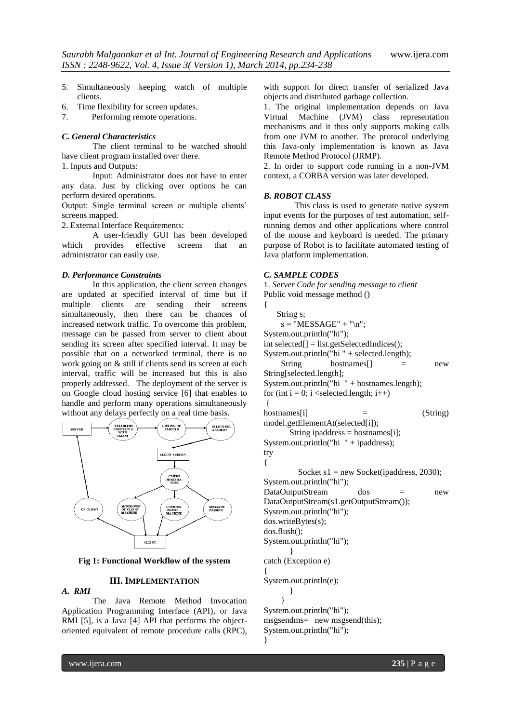- 5. Simultaneously keeping watch of multiple clients.
- 6. Time flexibility for screen updates.
- 7. Performing remote operations.

#### *C. General Characteristics*

The client terminal to be watched should have client program installed over there.

1. Inputs and Outputs:

Input: Administrator does not have to enter any data. Just by clicking over options he can perform desired operations.

Output: Single terminal screen or multiple clients' screens mapped.

2. External Interface Requirements:

A user-friendly GUI has been developed which provides effective screens that an administrator can easily use.

#### *D. Performance Constraints*

In this application, the client screen changes are updated at specified interval of time but if clients are sending simultaneously, then there can be chances of increased network traffic. To overcome this problem, message can be passed from server to client about sending its screen after specified interval. It may be possible that on a networked terminal, there is no work going on & still if clients send its screen at each interval, traffic will be increased but this is also properly addressed. The deployment of the server is on Google cloud hosting service [6] that enables to handle and perform many operations simultaneously without any delays perfectly on a real time basis.



**Fig 1: Functional Workflow of the system**

#### **III. IMPLEMENTATION**

# *A. RMI*

The Java Remote Method Invocation Application Programming Interface (API), or Java RMI [5], is a Java [4] API that performs the objectoriented equivalent of remote procedure calls (RPC), with support for direct transfer of serialized Java objects and distributed garbage collection.

1. The original implementation depends on Java Virtual Machine (JVM) class representation mechanisms and it thus only supports making calls from one JVM to another. The protocol underlying this Java-only implementation is known as Java Remote Method Protocol (JRMP).

2. In order to support code running in a non-JVM context, a CORBA version was later developed.

#### *B. ROBOT CLASS*

This class is used to generate native system input events for the purposes of test automation, selfrunning demos and other applications where control of the mouse and keyboard is needed. The primary purpose of Robot is to facilitate automated testing of Java platform implementation.

#### *C. SAMPLE CODES*

```
1. Server Code for sending message to client
Public void message method ()
```
{ String s;  $s = "MESSAGE" + "\n";$ System.out.println("hi"); int selected[] = list.getSelectedIndices(); System.out.println("hi " + selected.length); String hostnames<sup>[]</sup> = new String[selected.length]; System.out.println("hi " + hostnames.length); for (int  $i = 0$ ;  $i$  < selected.length;  $i++)$ {  $h$ ostnames[i]  $=$  (String) model.getElementAt(selected[i]); String ipaddress = hostnames[i]; System.out.println("hi " + ipaddress); try { Socket  $s1$  = new Socket(ipaddress, 2030); System.out.println("hi"); DataOutputStream dos = new DataOutputStream(s1.getOutputStream()); System.out.println("hi"); dos.writeBytes(s); dos.flush(); System.out.println("hi"); } catch (Exception e) { System.out.println(e); } } System.out.println("hi"); msgsendms= new msgsend(this); System.out.println("hi"); }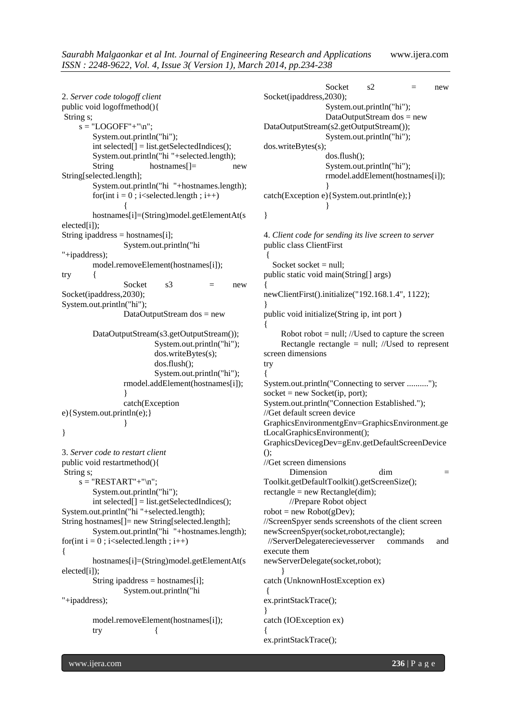2. *Server code tologoff client* public void logoffmethod(){ String s;  $s = "LOGOFF" + "\n";$ System.out.println("hi"); int selected[] = list.getSelectedIndices(); System.out.println("hi "+selected.length); String hostnames<sup>[]</sup> = new String[selected.length]; System.out.println("hi "+hostnames.length); for(int  $i = 0$ ; i $\le$ selected.length;  $i$ ++) { hostnames[i]=(String)model.getElementAt(s elected[i]); String ipaddress = hostnames[i]; System.out.println("hi "+ipaddress); model.removeElement(hostnames[i]); try { Socket  $s3 = new$ Socket(ipaddress,2030); System.out.println("hi"); DataOutputStream dos = new DataOutputStream(s3.getOutputStream()); System.out.println("hi"); dos.writeBytes(s); dos.flush(); System.out.println("hi"); rmodel.addElement(hostnames[i]); } catch(Exception e){System.out.println(e);} } } 3. *Server code to restart client* public void restartmethod(){ String s;  $s = "RESTART" + "\n";$ System.out.println("hi"); int selected[] = list.getSelectedIndices(); System.out.println("hi "+selected.length); String hostnames[]= new String[selected.length]; System.out.println("hi "+hostnames.length); for(int  $i = 0$ ; i $\le$ selected.length;  $i$ ++) { hostnames[i]=(String)model.getElementAt(s elected[i]); String ipaddress = hostnames[i]; System.out.println("hi "+ipaddress); model.removeElement(hostnames[i]); try Socket  $s2 = new$ Socket(ipaddress,2030); System.out.println("hi"); DataOutputStream dos = new DataOutputStream(s2.getOutputStream()); System.out.println("hi"); dos.writeBytes(s); dos.flush(); System.out.println("hi"); rmodel.addElement(hostnames[i]); } catch(Exception e){System.out.println(e);} } } 4. *Client code for sending its live screen to server* public class ClientFirst { Socket socket  $=$  null; public static void main(String[] args) { newClientFirst().initialize("192.168.1.4", 1122); } public void initialize(String ip, int port ) { Robot robot  $=$  null; //Used to capture the screen Rectangle rectangle  $=$  null; //Used to represent screen dimensions try { System.out.println("Connecting to server ..........");  $socket = new Socket(ip, port);$ System.out.println("Connection Established."); //Get default screen device GraphicsEnvironmentgEnv=GraphicsEnvironment.ge tLocalGraphicsEnvironment(); GraphicsDevicegDev=gEnv.getDefaultScreenDevice (); //Get screen dimensions Dimension dim  $=$ Toolkit.getDefaultToolkit().getScreenSize();  $rectangle = new Rectangle(dim);$  //Prepare Robot object  $robot = new Robot(gDev);$ //ScreenSpyer sends screenshots of the client screen newScreenSpyer(socket,robot,rectangle); //ServerDelegaterecievesserver commands and execute them newServerDelegate(socket,robot); } catch (UnknownHostException ex)  $\left\{ \right.$ ex.printStackTrace(); } catch (IOException ex) { ex.printStackTrace();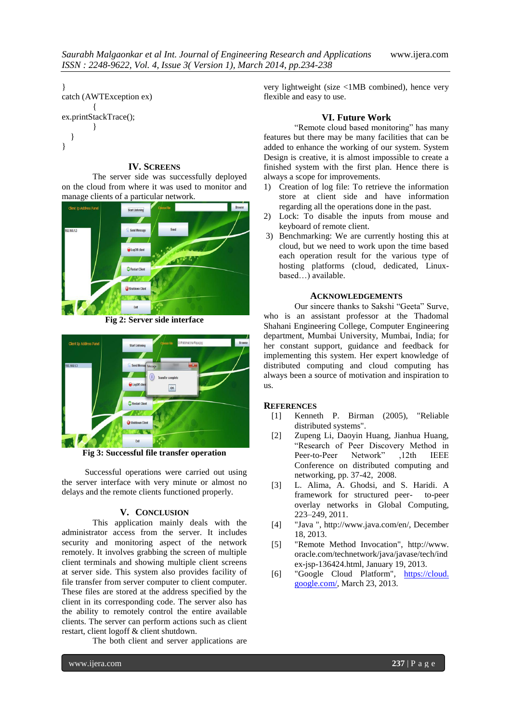```
}
catch (AWTException ex)
         {
ex.printStackTrace();
         }
   }
}
```
#### **IV. SCREENS**

The server side was successfully deployed on the cloud from where it was used to monitor and manage clients of a particular network.



**Fig 2: Server side interface**



**Fig 3: Successful file transfer operation**

Successful operations were carried out using the server interface with very minute or almost no delays and the remote clients functioned properly.

#### **V. CONCLUSION**

This application mainly deals with the administrator access from the server. It includes security and monitoring aspect of the network remotely. It involves grabbing the screen of multiple client terminals and showing multiple client screens at server side. This system also provides facility of file transfer from server computer to client computer. These files are stored at the address specified by the client in its corresponding code. The server also has the ability to remotely control the entire available clients. The server can perform actions such as client restart, client logoff & client shutdown.

The both client and server applications are

very lightweight (size <1MB combined), hence very flexible and easy to use.

#### **VI. Future Work**

"Remote cloud based monitoring" has many features but there may be many facilities that can be added to enhance the working of our system. System Design is creative, it is almost impossible to create a finished system with the first plan. Hence there is always a scope for improvements.

- 1) Creation of log file: To retrieve the information store at client side and have information regarding all the operations done in the past.
- 2) Lock: To disable the inputs from mouse and keyboard of remote client.
- 3) Benchmarking: We are currently hosting this at cloud, but we need to work upon the time based each operation result for the various type of hosting platforms (cloud, dedicated, Linuxbased…) available.

#### **ACKNOWLEDGEMENTS**

Our sincere thanks to Sakshi "Geeta" Surve, who is an assistant professor at the Thadomal Shahani Engineering College, Computer Engineering department, Mumbai University, Mumbai, India; for her constant support, guidance and feedback for implementing this system. Her expert knowledge of distributed computing and cloud computing has always been a source of motivation and inspiration to us.

#### **REFERENCES**

- [1] Kenneth P. Birman (2005), "Reliable distributed systems".
- [2] Zupeng Li, Daoyin Huang, Jianhua Huang, "Research of Peer Discovery Method in Peer-to-Peer Network" ,12th IEEE Conference on distributed computing and networking, pp. 37-42, 2008.
- [3] L. Alima, A. Ghodsi, and S. Haridi. A framework for structured peer- to-peer overlay networks in Global Computing, 223–249, 2011.
- [4] "Java ", http://www.java.com/en/, December 18, 2013.
- [5] "Remote Method Invocation", http://www. oracle.com/technetwork/java/javase/tech/ind ex-jsp-136424.html, January 19, 2013.
- [6] "Google Cloud Platform", https://cloud. google.com/, March 23, 2013.